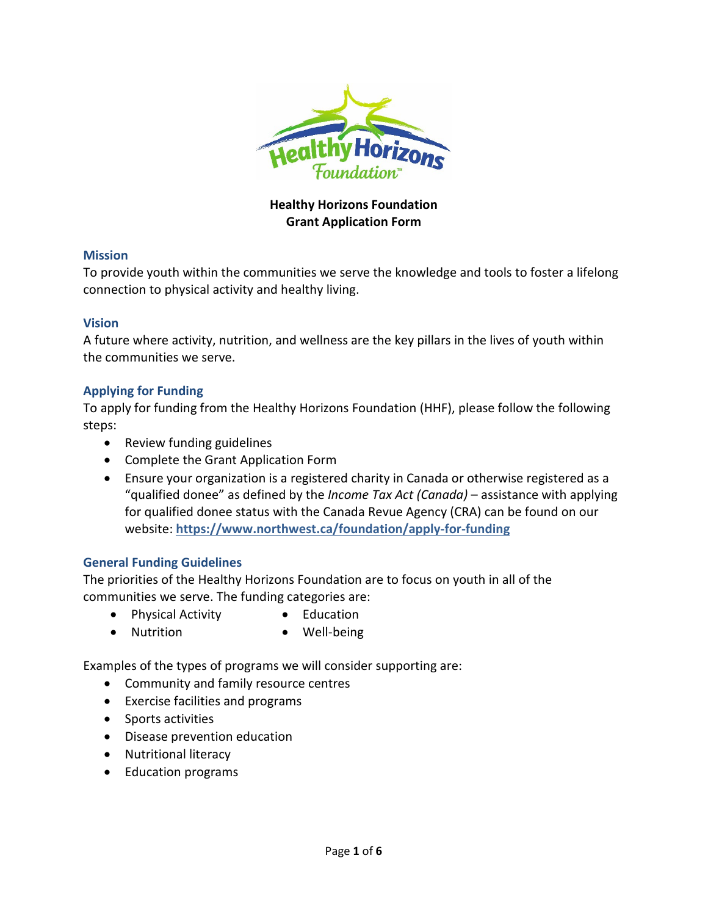

# **Healthy Horizons Foundation Grant Application Form**

#### **Mission**

To provide youth within the communities we serve the knowledge and tools to foster a lifelong connection to physical activity and healthy living.

#### **Vision**

A future where activity, nutrition, and wellness are the key pillars in the lives of youth within the communities we serve.

## **Applying for Funding**

To apply for funding from the Healthy Horizons Foundation (HHF), please follow the following steps:

- Review funding guidelines
- Complete the Grant Application Form
- Ensure your organization is a registered charity in Canada or otherwise registered as a "qualified donee" as defined by the *Income Tax Act (Canada)* – assistance with applying for qualified donee status with the Canada Revue Agency (CRA) can be found on our website: **<https://www.northwest.ca/foundation/apply-for-funding>**

## **General Funding Guidelines**

The priorities of the Healthy Horizons Foundation are to focus on youth in all of the communities we serve. The funding categories are:

- Physical Activity Education
- Nutrition Well-being

Examples of the types of programs we will consider supporting are:

- Community and family resource centres
- Exercise facilities and programs
- Sports activities
- Disease prevention education
- Nutritional literacy
- Education programs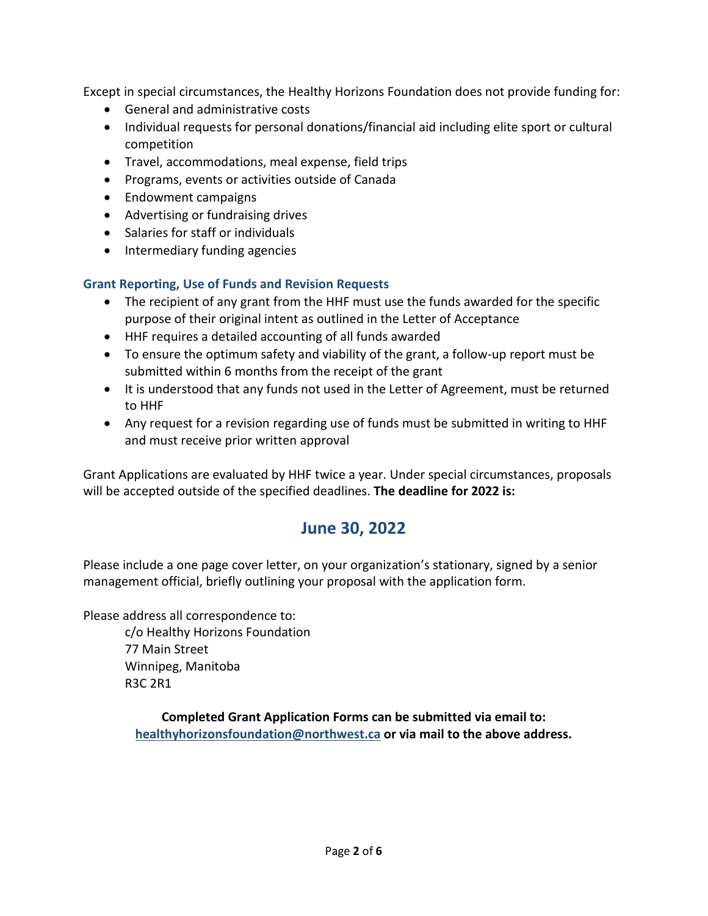Except in special circumstances, the Healthy Horizons Foundation does not provide funding for:

- General and administrative costs
- Individual requests for personal donations/financial aid including elite sport or cultural competition
- Travel, accommodations, meal expense, field trips
- Programs, events or activities outside of Canada
- Endowment campaigns
- Advertising or fundraising drives
- Salaries for staff or individuals
- Intermediary funding agencies

# **Grant Reporting, Use of Funds and Revision Requests**

- The recipient of any grant from the HHF must use the funds awarded for the specific purpose of their original intent as outlined in the Letter of Acceptance
- HHF requires a detailed accounting of all funds awarded
- To ensure the optimum safety and viability of the grant, a follow-up report must be submitted within 6 months from the receipt of the grant
- It is understood that any funds not used in the Letter of Agreement, must be returned to HHF
- Any request for a revision regarding use of funds must be submitted in writing to HHF and must receive prior written approval

Grant Applications are evaluated by HHF twice a year. Under special circumstances, proposals will be accepted outside of the specified deadlines. **The deadline for 2022 is:**

# **June 30, 2022**

Please include a one page cover letter, on your organization's stationary, signed by a senior management official, briefly outlining your proposal with the application form.

Please address all correspondence to: c/o Healthy Horizons Foundation 77 Main Street Winnipeg, Manitoba

R3C 2R1

**Completed Grant Application Forms can be submitted via email to: [healthyhorizonsfoundation@northwest.ca](mailto:healthyhorizonsfoundation@northwest.ca) or via mail to the above address.**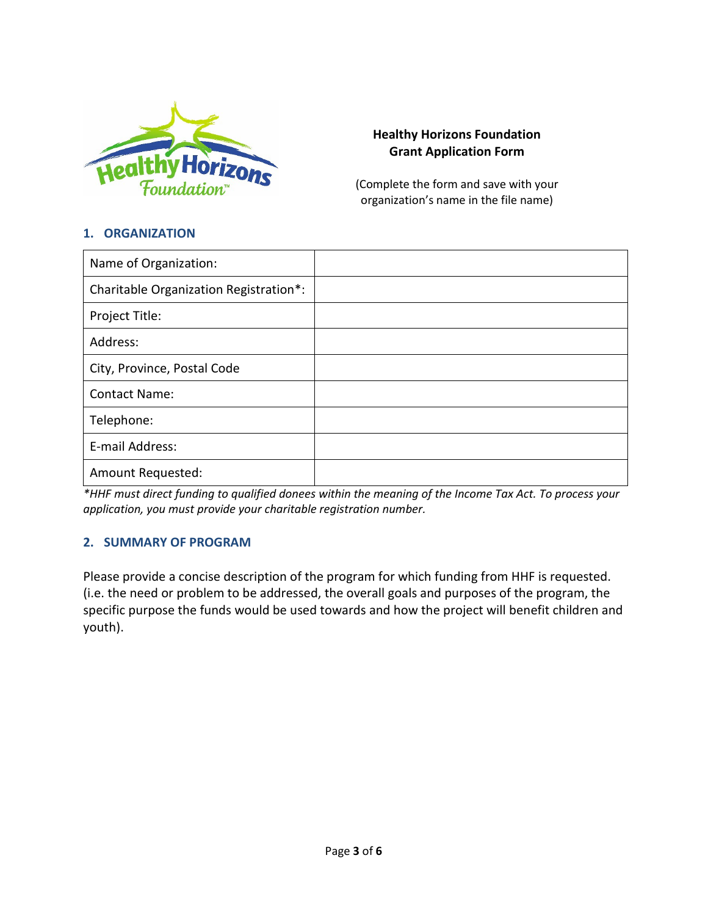

## **Healthy Horizons Foundation Grant Application Form**

(Complete the form and save with your organization's name in the file name)

#### **1. ORGANIZATION**

| Name of Organization:                  |  |
|----------------------------------------|--|
| Charitable Organization Registration*: |  |
| Project Title:                         |  |
| Address:                               |  |
| City, Province, Postal Code            |  |
| <b>Contact Name:</b>                   |  |
| Telephone:                             |  |
| E-mail Address:                        |  |
| Amount Requested:                      |  |

*\*HHF must direct funding to qualified donees within the meaning of the Income Tax Act. To process your application, you must provide your charitable registration number.*

## **2. SUMMARY OF PROGRAM**

Please provide a concise description of the program for which funding from HHF is requested. (i.e. the need or problem to be addressed, the overall goals and purposes of the program, the specific purpose the funds would be used towards and how the project will benefit children and youth).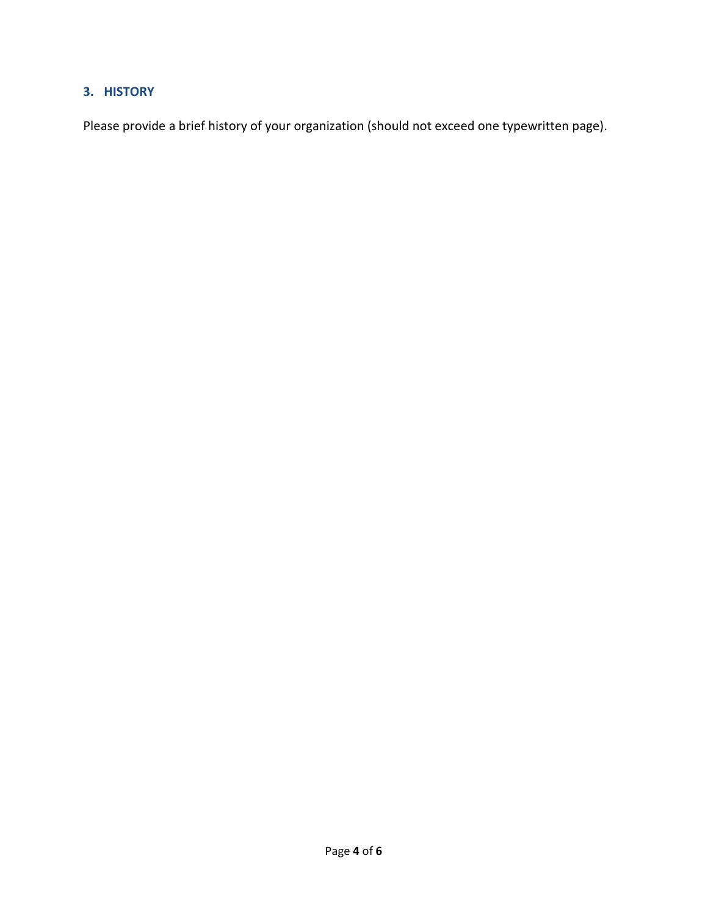# **3. HISTORY**

Please provide a brief history of your organization (should not exceed one typewritten page).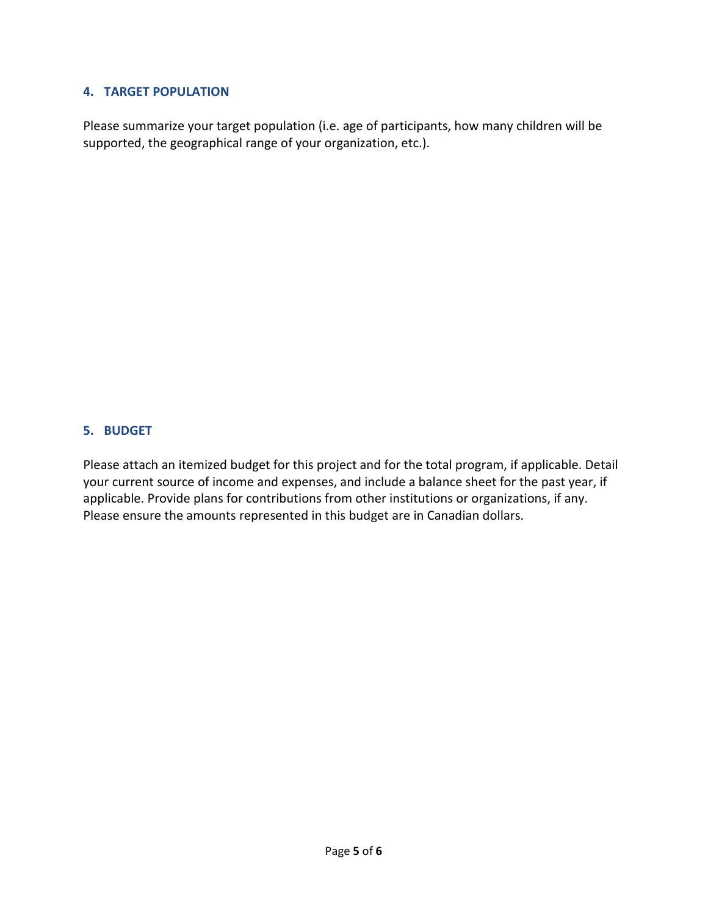## **4. TARGET POPULATION**

Please summarize your target population (i.e. age of participants, how many children will be supported, the geographical range of your organization, etc.).

## **5. BUDGET**

Please attach an itemized budget for this project and for the total program, if applicable. Detail your current source of income and expenses, and include a balance sheet for the past year, if applicable. Provide plans for contributions from other institutions or organizations, if any. Please ensure the amounts represented in this budget are in Canadian dollars.